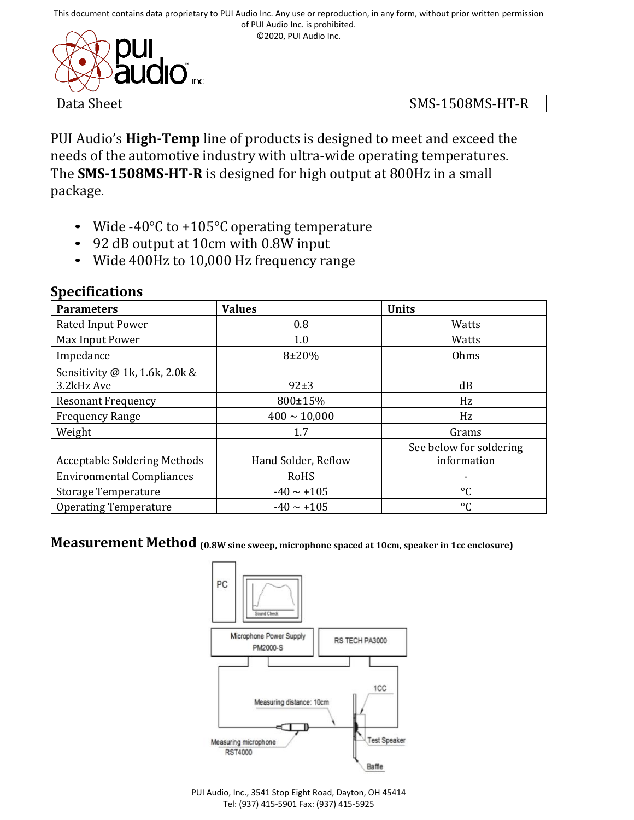©2020, PUI Audio Inc.



PUI Audio's **High-Temp** line of products is designed to meet and exceed the needs of the automotive industry with ultra-wide operating temperatures. The **SMS-1508MS-HT-R** is designed for high output at 800Hz in a small package.

- Wide -40°C to +105°C operating temperature
- 92 dB output at 10cm with 0.8W input
- Wide 400Hz to 10,000 Hz frequency range

| <b>Parameters</b>                            | <b>Values</b>       | <b>Units</b>                           |
|----------------------------------------------|---------------------|----------------------------------------|
| Rated Input Power                            | 0.8                 | Watts                                  |
| Max Input Power                              | 1.0                 | Watts                                  |
| Impedance                                    | $8 + 20%$           | Ohms                                   |
| Sensitivity @ 1k, 1.6k, 2.0k &<br>3.2kHz Ave | $92\pm3$            | dB                                     |
| <b>Resonant Frequency</b>                    | 800±15%             | Hz                                     |
| <b>Frequency Range</b>                       | $400 \sim 10,000$   | Hz                                     |
| Weight                                       | 1.7                 | Grams                                  |
| <b>Acceptable Soldering Methods</b>          | Hand Solder, Reflow | See below for soldering<br>information |
| <b>Environmental Compliances</b>             | RoHS                |                                        |
| <b>Storage Temperature</b>                   | $-40 \sim +105$     | $\rm ^{\circ}C$                        |
| <b>Operating Temperature</b>                 | $-40 \sim +105$     | $\rm ^{\circ}C$                        |

#### **Specifications**

# **Measurement Method (0.8W sine sweep, microphone spaced at 10cm, speaker in 1cc enclosure)**



PUI Audio, Inc., 3541 Stop Eight Road, Dayton, OH 45414 Tel: (937) 415-5901 Fax: (937) 415-5925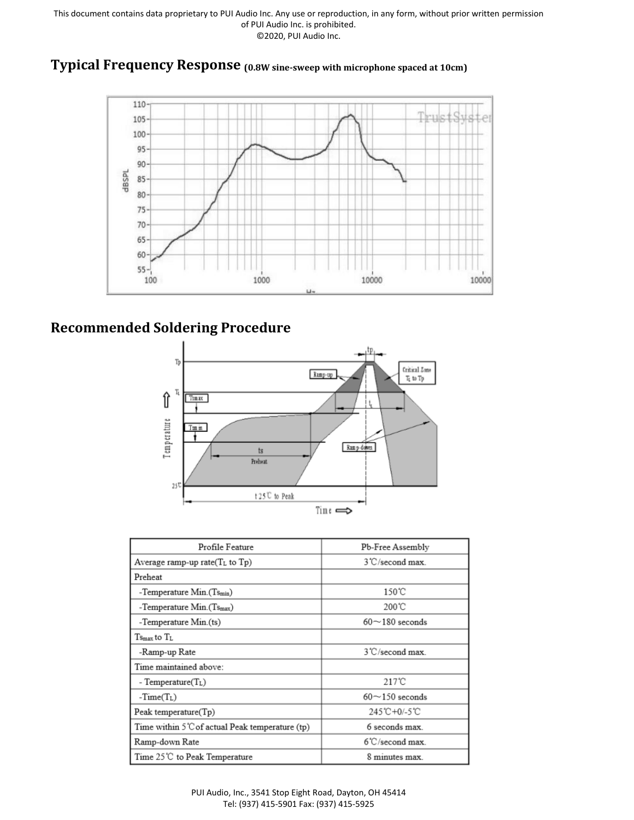#### **Typical Frequency Response (0.8W sine-sweep with microphone spaced at 10cm)**



## **Recommended Soldering Procedure**



| Profile Feature                                 | Pb-Free Assembly                           |  |
|-------------------------------------------------|--------------------------------------------|--|
| Average ramp-up rate $(T_L$ to $T_p$ )          | 3°C/second max.                            |  |
| Preheat                                         |                                            |  |
| -Temperature $Min(Ts_{min})$                    | $150^{\circ}$ C                            |  |
| -Temperature $Min(TSmax)$                       | 200℃                                       |  |
| -Temperature Min.(ts)                           | $60\negthinspace\negthinspace 180$ seconds |  |
| $T_{\rm Smax}$ to $T_{\rm L}$                   |                                            |  |
| -Ramp-up Rate                                   | 3°C/second max.                            |  |
| Time maintained above:                          |                                            |  |
| - Temperature $(T_L)$                           | $217^\circ$ C                              |  |
| $-Time(T_L)$                                    | $60\negthinspace\negthinspace-150$ seconds |  |
| Peak temperature $(Tp)$                         | 245°C+0/-5°C                               |  |
| Time within 5°C of actual Peak temperature (tp) | 6 seconds max                              |  |
| Ramp-down Rate                                  | $6^{\circ}$ C/second max.                  |  |
| Time 25℃ to Peak Temperature                    | 8 minutes max.                             |  |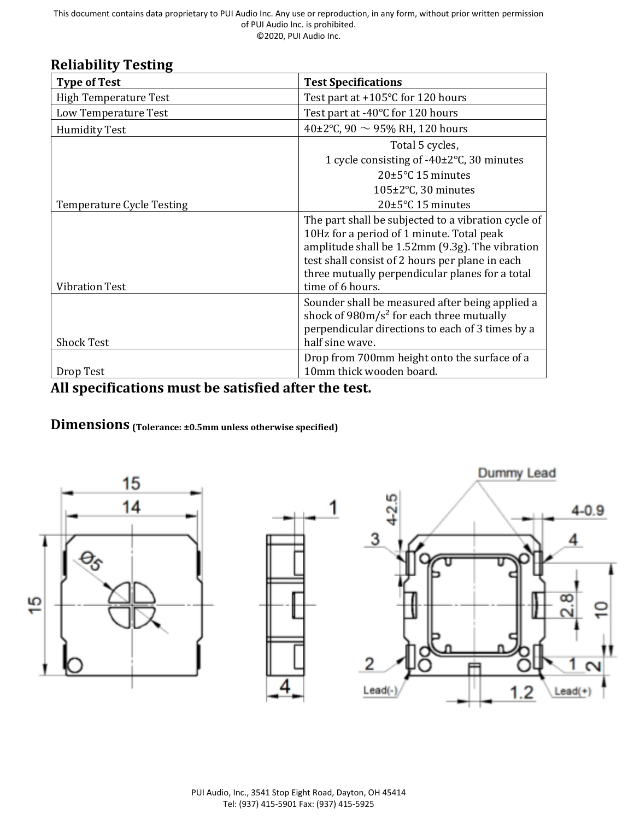#### **Reliability Testing**

| <b>Type of Test</b>              | <b>Test Specifications</b>                                                                                                                                                                                                                                |  |
|----------------------------------|-----------------------------------------------------------------------------------------------------------------------------------------------------------------------------------------------------------------------------------------------------------|--|
| <b>High Temperature Test</b>     | Test part at $+105^{\circ}$ C for 120 hours                                                                                                                                                                                                               |  |
| Low Temperature Test             | Test part at -40°C for 120 hours                                                                                                                                                                                                                          |  |
| <b>Humidity Test</b>             | 40±2°C, 90 $\sim$ 95% RH, 120 hours                                                                                                                                                                                                                       |  |
|                                  | Total 5 cycles,                                                                                                                                                                                                                                           |  |
|                                  | 1 cycle consisting of -40±2°C, 30 minutes                                                                                                                                                                                                                 |  |
|                                  | $20\pm5\degree$ C 15 minutes                                                                                                                                                                                                                              |  |
|                                  | 105±2°C, 30 minutes                                                                                                                                                                                                                                       |  |
| <b>Temperature Cycle Testing</b> | $20\pm5\degree$ C 15 minutes                                                                                                                                                                                                                              |  |
|                                  | The part shall be subjected to a vibration cycle of<br>10Hz for a period of 1 minute. Total peak<br>amplitude shall be 1.52mm (9.3g). The vibration<br>test shall consist of 2 hours per plane in each<br>three mutually perpendicular planes for a total |  |
| <b>Vibration Test</b>            | time of 6 hours.                                                                                                                                                                                                                                          |  |
| <b>Shock Test</b>                | Sounder shall be measured after being applied a<br>shock of $980 \text{m/s}^2$ for each three mutually<br>perpendicular directions to each of 3 times by a<br>half sine wave.                                                                             |  |
|                                  | Drop from 700mm height onto the surface of a                                                                                                                                                                                                              |  |
| Drop Test                        | 10mm thick wooden board.                                                                                                                                                                                                                                  |  |

# **All specifications must be satisfied after the test.**

**Dimensions (Tolerance: ±0.5mm unless otherwise specified)**

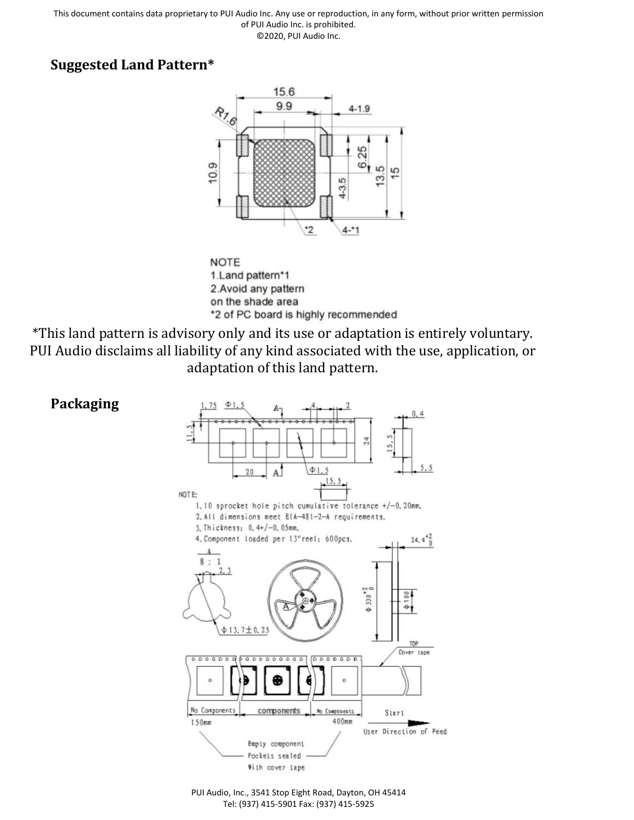### **Suggested Land Pattern\***





\*This land pattern is advisory only and its use or adaptation is entirely voluntary. PUI Audio disclaims all liability of any kind associated with the use, application, or adaptation of this land pattern.



PUI Audio, Inc., 3541 Stop Eight Road, Dayton, OH 45414 Tel: (937) 415-5901 Fax: (937) 415-5925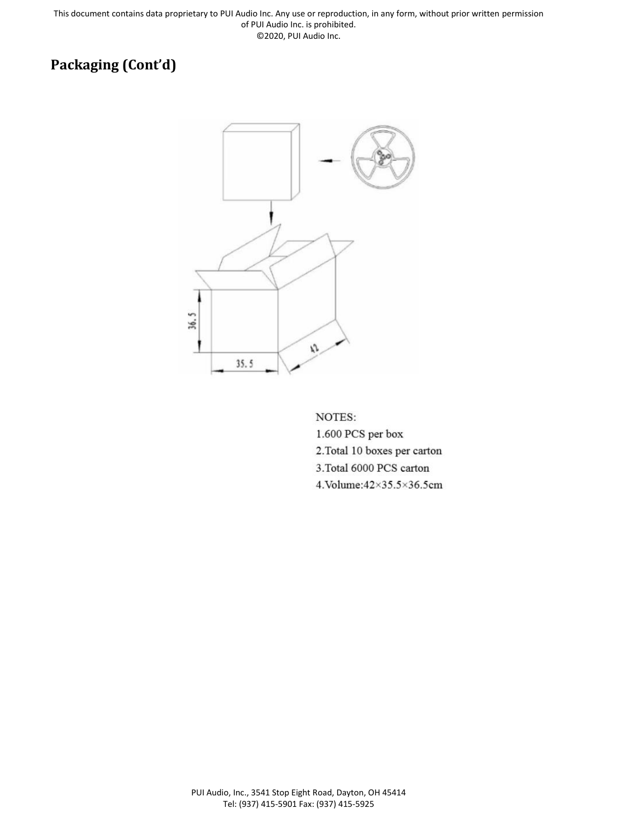# **Packaging (Cont'd)**



NOTES:

1.600 PCS per box 2. Total 10 boxes per carton 3. Total 6000 PCS carton 4. Volume: 42×35.5×36.5cm